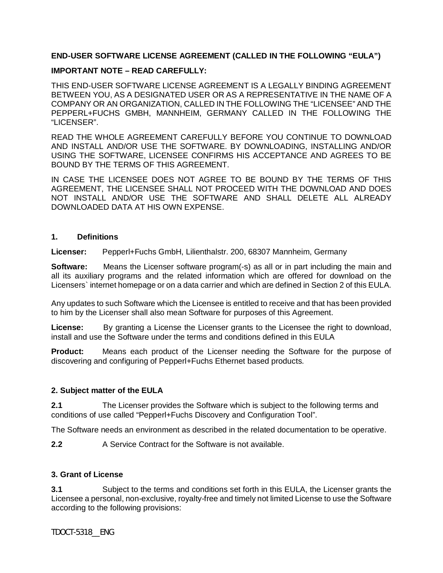### **END-USER SOFTWARE LICENSE AGREEMENT (CALLED IN THE FOLLOWING "EULA")**

#### **IMPORTANT NOTE – READ CAREFULLY:**

THIS END-USER SOFTWARE LICENSE AGREEMENT IS A LEGALLY BINDING AGREEMENT BETWEEN YOU, AS A DESIGNATED USER OR AS A REPRESENTATIVE IN THE NAME OF A COMPANY OR AN ORGANIZATION, CALLED IN THE FOLLOWING THE "LICENSEE" AND THE PEPPERL+FUCHS GMBH, MANNHEIM, GERMANY CALLED IN THE FOLLOWING THE "LICENSER".

READ THE WHOLE AGREEMENT CAREFULLY BEFORE YOU CONTINUE TO DOWNLOAD AND INSTALL AND/OR USE THE SOFTWARE. BY DOWNLOADING, INSTALLING AND/OR USING THE SOFTWARE, LICENSEE CONFIRMS HIS ACCEPTANCE AND AGREES TO BE BOUND BY THE TERMS OF THIS AGREEMENT.

IN CASE THE LICENSEE DOES NOT AGREE TO BE BOUND BY THE TERMS OF THIS AGREEMENT, THE LICENSEE SHALL NOT PROCEED WITH THE DOWNLOAD AND DOES NOT INSTALL AND/OR USE THE SOFTWARE AND SHALL DELETE ALL ALREADY DOWNLOADED DATA AT HIS OWN EXPENSE.

#### **1. Definitions**

**Licenser:** Pepperl+Fuchs GmbH, Lilienthalstr. 200, 68307 Mannheim, Germany

**Software:** Means the Licenser software program(-s) as all or in part including the main and all its auxiliary programs and the related information which are offered for download on the Licensers` internet homepage or on a data carrier and which are defined in Section 2 of this EULA.

Any updates to such Software which the Licensee is entitled to receive and that has been provided to him by the Licenser shall also mean Software for purposes of this Agreement.

**License:** By granting a License the Licenser grants to the Licensee the right to download, install and use the Software under the terms and conditions defined in this EULA

**Product:** Means each product of the Licenser needing the Software for the purpose of discovering and configuring of Pepperl+Fuchs Ethernet based products.

#### **2. Subject matter of the EULA**

**2.1** The Licenser provides the Software which is subject to the following terms and conditions of use called "Pepperl+Fuchs Discovery and Configuration Tool".

The Software needs an environment as described in the related documentation to be operative.

**2.2** A Service Contract for the Software is not available.

### **3. Grant of License**

**3.1** Subject to the terms and conditions set forth in this EULA, the Licenser grants the Licensee a personal, non-exclusive, royalty-free and timely not limited License to use the Software according to the following provisions:

TDOCT-5318\_\_ENG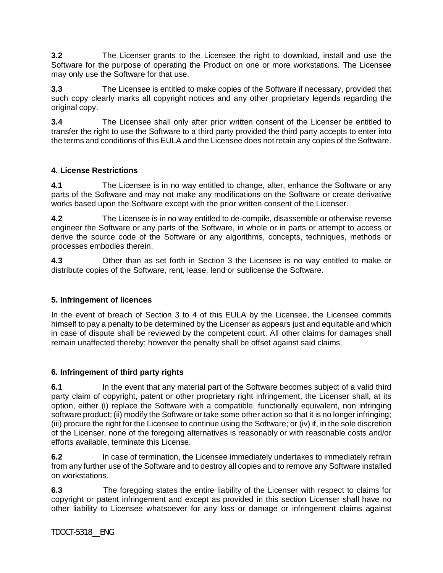**3.2** The Licenser grants to the Licensee the right to download, install and use the Software for the purpose of operating the Product on one or more workstations. The Licensee may only use the Software for that use.

**3.3** The Licensee is entitled to make copies of the Software if necessary, provided that such copy clearly marks all copyright notices and any other proprietary legends regarding the original copy.

**3.4** The Licensee shall only after prior written consent of the Licenser be entitled to transfer the right to use the Software to a third party provided the third party accepts to enter into the terms and conditions of this EULA and the Licensee does not retain any copies of the Software.

### **4. License Restrictions**

**4.1** The Licensee is in no way entitled to change, alter, enhance the Software or any parts of the Software and may not make any modifications on the Software or create derivative works based upon the Software except with the prior written consent of the Licenser.

**4.2** The Licensee is in no way entitled to de-compile, disassemble or otherwise reverse engineer the Software or any parts of the Software, in whole or in parts or attempt to access or derive the source code of the Software or any algorithms, concepts, techniques, methods or processes embodies therein.

**4.3** Other than as set forth in Section 3 the Licensee is no way entitled to make or distribute copies of the Software, rent, lease, lend or sublicense the Software.

#### **5. Infringement of licences**

In the event of breach of Section 3 to 4 of this EULA by the Licensee, the Licensee commits himself to pay a penalty to be determined by the Licenser as appears just and equitable and which in case of dispute shall be reviewed by the competent court. All other claims for damages shall remain unaffected thereby; however the penalty shall be offset against said claims.

#### **6. Infringement of third party rights**

**6.1** In the event that any material part of the Software becomes subject of a valid third party claim of copyright, patent or other proprietary right infringement, the Licenser shall, at its option, either (i) replace the Software with a compatible, functionally equivalent, non infringing software product; (ii) modify the Software or take some other action so that it is no longer infringing; (iii) procure the right for the Licensee to continue using the Software; or (iv) if, in the sole discretion of the Licenser, none of the foregoing alternatives is reasonably or with reasonable costs and/or efforts available, terminate this License.

**6.2** In case of termination, the Licensee immediately undertakes to immediately refrain from any further use of the Software and to destroy all copies and to remove any Software installed on workstations.

**6.3** The foregoing states the entire liability of the Licenser with respect to claims for copyright or patent infringement and except as provided in this section Licenser shall have no other liability to Licensee whatsoever for any loss or damage or infringement claims against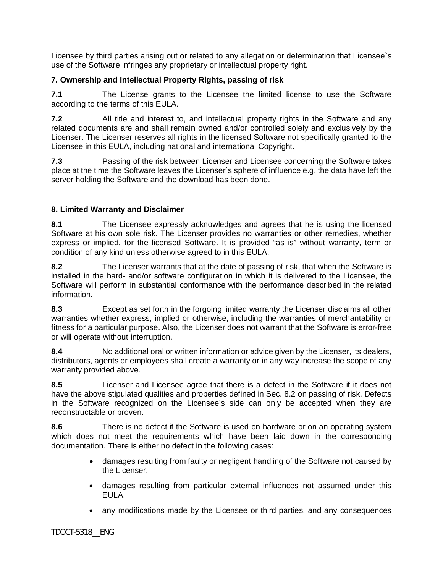Licensee by third parties arising out or related to any allegation or determination that Licensee`s use of the Software infringes any proprietary or intellectual property right.

### **7. Ownership and Intellectual Property Rights, passing of risk**

**7.1** The License grants to the Licensee the limited license to use the Software according to the terms of this EULA.

**7.2** All title and interest to, and intellectual property rights in the Software and any related documents are and shall remain owned and/or controlled solely and exclusively by the Licenser. The Licenser reserves all rights in the licensed Software not specifically granted to the Licensee in this EULA, including national and international Copyright.

**7.3** Passing of the risk between Licenser and Licensee concerning the Software takes place at the time the Software leaves the Licenser`s sphere of influence e.g. the data have left the server holding the Software and the download has been done.

### **8. Limited Warranty and Disclaimer**

**8.1** The Licensee expressly acknowledges and agrees that he is using the licensed Software at his own sole risk. The Licenser provides no warranties or other remedies, whether express or implied, for the licensed Software. It is provided "as is" without warranty, term or condition of any kind unless otherwise agreed to in this EULA.

**8.2** The Licenser warrants that at the date of passing of risk, that when the Software is installed in the hard- and/or software configuration in which it is delivered to the Licensee, the Software will perform in substantial conformance with the performance described in the related information.

**8.3** Except as set forth in the forgoing limited warranty the Licenser disclaims all other warranties whether express, implied or otherwise, including the warranties of merchantability or fitness for a particular purpose. Also, the Licenser does not warrant that the Software is error-free or will operate without interruption.

**8.4** No additional oral or written information or advice given by the Licenser, its dealers, distributors, agents or employees shall create a warranty or in any way increase the scope of any warranty provided above.

**8.5** Licenser and Licensee agree that there is a defect in the Software if it does not have the above stipulated qualities and properties defined in Sec. 8.2 on passing of risk. Defects in the Software recognized on the Licensee's side can only be accepted when they are reconstructable or proven.

**8.6** There is no defect if the Software is used on hardware or on an operating system which does not meet the requirements which have been laid down in the corresponding documentation. There is either no defect in the following cases:

- · damages resulting from faulty or negligent handling of the Software not caused by the Licenser,
- · damages resulting from particular external influences not assumed under this EULA,
- · any modifications made by the Licensee or third parties, and any consequences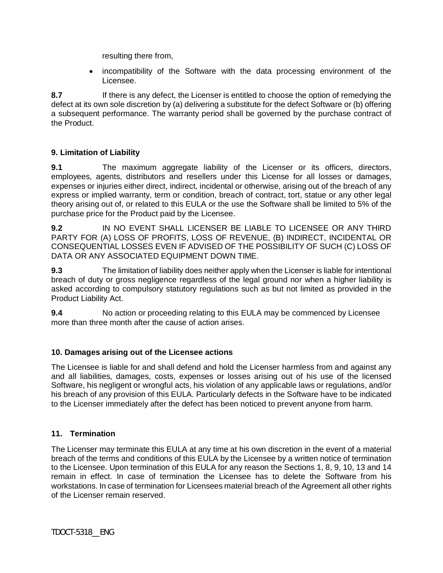resulting there from,

· incompatibility of the Software with the data processing environment of the Licensee.

**8.7** If there is any defect, the Licenser is entitled to choose the option of remedying the defect at its own sole discretion by (a) delivering a substitute for the defect Software or (b) offering a subsequent performance. The warranty period shall be governed by the purchase contract of the Product.

### **9. Limitation of Liability**

**9.1** The maximum aggregate liability of the Licenser or its officers, directors, employees, agents, distributors and resellers under this License for all losses or damages, expenses or injuries either direct, indirect, incidental or otherwise, arising out of the breach of any express or implied warranty, term or condition, breach of contract, tort, statue or any other legal theory arising out of, or related to this EULA or the use the Software shall be limited to 5% of the purchase price for the Product paid by the Licensee.

**9.2** IN NO EVENT SHALL LICENSER BE LIABLE TO LICENSEE OR ANY THIRD PARTY FOR (A) LOSS OF PROFITS, LOSS OF REVENUE, (B) INDIRECT, INCIDENTAL OR CONSEQUENTIAL LOSSES EVEN IF ADVISED OF THE POSSIBILITY OF SUCH (C) LOSS OF DATA OR ANY ASSOCIATED EQUIPMENT DOWN TIME.

**9.3** The limitation of liability does neither apply when the Licenser is liable for intentional breach of duty or gross negligence regardless of the legal ground nor when a higher liability is asked according to compulsory statutory regulations such as but not limited as provided in the Product Liability Act.

**9.4** No action or proceeding relating to this EULA may be commenced by Licensee more than three month after the cause of action arises.

# **10. Damages arising out of the Licensee actions**

The Licensee is liable for and shall defend and hold the Licenser harmless from and against any and all liabilities, damages, costs, expenses or losses arising out of his use of the licensed Software, his negligent or wrongful acts, his violation of any applicable laws or regulations, and/or his breach of any provision of this EULA. Particularly defects in the Software have to be indicated to the Licenser immediately after the defect has been noticed to prevent anyone from harm.

#### **11. Termination**

The Licenser may terminate this EULA at any time at his own discretion in the event of a material breach of the terms and conditions of this EULA by the Licensee by a written notice of termination to the Licensee. Upon termination of this EULA for any reason the Sections 1, 8, 9, 10, 13 and 14 remain in effect. In case of termination the Licensee has to delete the Software from his workstations. In case of termination for Licensees material breach of the Agreement all other rights of the Licenser remain reserved.